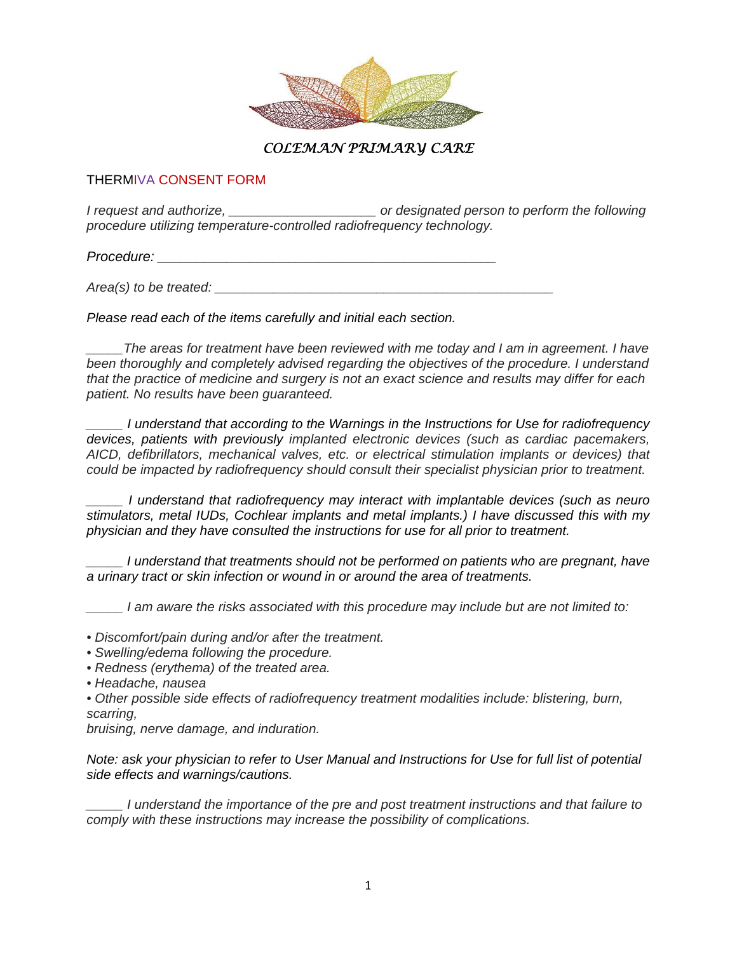

## *COLEMAN PRIMARY CARE*

## THERMIVA CONSENT FORM

*I request and authorize, \_\_\_\_\_\_\_\_\_\_\_\_\_\_\_\_\_\_\_\_ or designated person to perform the following procedure utilizing temperature-controlled radiofrequency technology.* 

*Procedure: \_\_\_\_\_\_\_\_\_\_\_\_\_\_\_\_\_\_\_\_\_\_\_\_\_\_\_\_\_\_\_\_\_\_\_\_\_\_\_\_\_\_\_\_* 

*Area(s) to be treated:*  $\blacksquare$ 

*Please read each of the items carefully and initial each section.* 

*\_\_\_\_\_The areas for treatment have been reviewed with me today and I am in agreement. I have been thoroughly and completely advised regarding the objectives of the procedure. I understand that the practice of medicine and surgery is not an exact science and results may differ for each patient. No results have been guaranteed.* 

*\_\_\_\_\_ I understand that according to the Warnings in the Instructions for Use for radiofrequency devices, patients with previously implanted electronic devices (such as cardiac pacemakers, AICD, defibrillators, mechanical valves, etc. or electrical stimulation implants or devices) that could be impacted by radiofrequency should consult their specialist physician prior to treatment.*

*\_\_\_\_\_ I understand that radiofrequency may interact with implantable devices (such as neuro stimulators, metal IUDs, Cochlear implants and metal implants.) I have discussed this with my physician and they have consulted the instructions for use for all prior to treatment.* 

*\_\_\_\_\_ I understand that treatments should not be performed on patients who are pregnant, have a urinary tract or skin infection or wound in or around the area of treatments.* 

*\_\_\_\_\_ I am aware the risks associated with this procedure may include but are not limited to:* 

*• Discomfort/pain during and/or after the treatment.* 

*• Swelling/edema following the procedure.* 

*• Redness (erythema) of the treated area.* 

*• Headache, nausea* 

*• Other possible side effects of radiofrequency treatment modalities include: blistering, burn, scarring,* 

*bruising, nerve damage, and induration.* 

*Note: ask your physician to refer to User Manual and Instructions for Use for full list of potential side effects and warnings/cautions.* 

*\_\_\_\_\_ I understand the importance of the pre and post treatment instructions and that failure to comply with these instructions may increase the possibility of complications.*